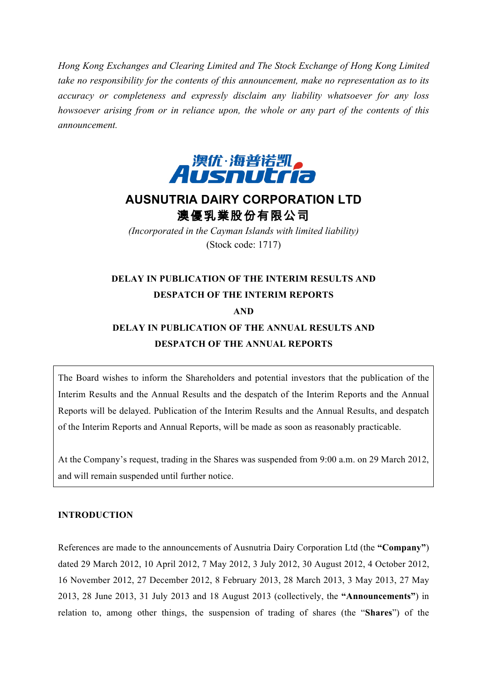*Hong Kong Exchanges and Clearing Limited and The Stock Exchange of Hong Kong Limited take no responsibility for the contents of this announcement, make no representation as to its accuracy or completeness and expressly disclaim any liability whatsoever for any loss howsoever arising from or in reliance upon, the whole or any part of the contents of this announcement.*



# **AUSNUTRIA DAIRY CORPORATION LTD** 澳優乳業股份有限公司

*(Incorporated in the Cayman Islands with limited liability)* (Stock code: 1717)

### **DELAY IN PUBLICATION OF THE INTERIM RESULTS AND DESPATCH OF THE INTERIM REPORTS AND**

## **DELAY IN PUBLICATION OF THE ANNUAL RESULTS AND DESPATCH OF THE ANNUAL REPORTS**

The Board wishes to inform the Shareholders and potential investors that the publication of the Interim Results and the Annual Results and the despatch of the Interim Reports and the Annual Reports will be delayed. Publication of the Interim Results and the Annual Results, and despatch of the Interim Reports and Annual Reports, will be made as soon as reasonably practicable.

At the Company's request, trading in the Shares was suspended from 9:00 a.m. on 29 March 2012, and will remain suspended until further notice.

#### **INTRODUCTION**

References are made to the announcements of Ausnutria Dairy Corporation Ltd (the **"Company"**) dated 29 March 2012, 10 April 2012, 7 May 2012, 3 July 2012, 30 August 2012, 4 October 2012, 16 November 2012, 27 December 2012, 8 February 2013, 28 March 2013, 3 May 2013, 27 May 2013, 28 June 2013, 31 July 2013 and 18 August 2013 (collectively, the **"Announcements"**) in relation to, among other things, the suspension of trading of shares (the "**Shares**") of the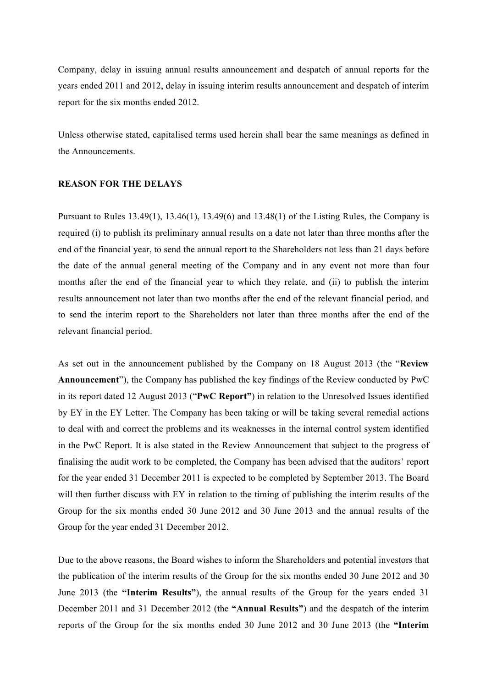Company, delay in issuing annual results announcement and despatch of annual reports for the years ended 2011 and 2012, delay in issuing interim results announcement and despatch of interim report for the six months ended 2012.

Unless otherwise stated, capitalised terms used herein shall bear the same meanings as defined in the Announcements.

#### **REASON FOR THE DELAYS**

Pursuant to Rules 13.49(1), 13.46(1), 13.49(6) and 13.48(1) of the Listing Rules, the Company is required (i) to publish its preliminary annual results on a date not later than three months after the end of the financial year, to send the annual report to the Shareholders not less than 21 days before the date of the annual general meeting of the Company and in any event not more than four months after the end of the financial year to which they relate, and (ii) to publish the interim results announcement not later than two months after the end of the relevant financial period, and to send the interim report to the Shareholders not later than three months after the end of the relevant financial period.

As set out in the announcement published by the Company on 18 August 2013 (the "**Review Announcement**"), the Company has published the key findings of the Review conducted by PwC in its report dated 12 August 2013 ("**PwC Report"**) in relation to the Unresolved Issues identified by EY in the EY Letter. The Company has been taking or will be taking several remedial actions to deal with and correct the problems and its weaknesses in the internal control system identified in the PwC Report. It is also stated in the Review Announcement that subject to the progress of finalising the audit work to be completed, the Company has been advised that the auditors' report for the year ended 31 December 2011 is expected to be completed by September 2013. The Board will then further discuss with EY in relation to the timing of publishing the interim results of the Group for the six months ended 30 June 2012 and 30 June 2013 and the annual results of the Group for the year ended 31 December 2012.

Due to the above reasons, the Board wishes to inform the Shareholders and potential investors that the publication of the interim results of the Group for the six months ended 30 June 2012 and 30 June 2013 (the **"Interim Results"**), the annual results of the Group for the years ended 31 December 2011 and 31 December 2012 (the **"Annual Results"**) and the despatch of the interim reports of the Group for the six months ended 30 June 2012 and 30 June 2013 (the **"Interim**